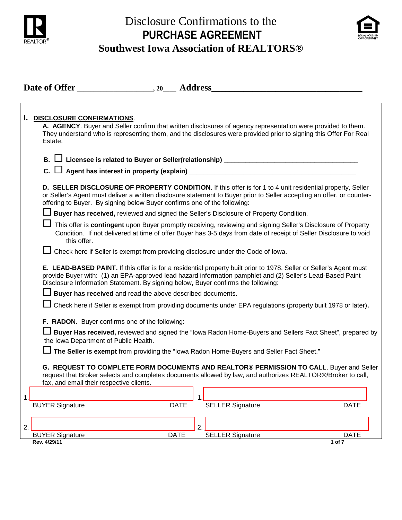

# Disclosure Confirmations to the **PURCHASE AGREEMENT**



## **Southwest Iowa Association of REALTORS®**

| Date of Offer 20 Address |                                                                                                                                                                                                                                                                                                                        |  |  |  |  |
|--------------------------|------------------------------------------------------------------------------------------------------------------------------------------------------------------------------------------------------------------------------------------------------------------------------------------------------------------------|--|--|--|--|
|                          |                                                                                                                                                                                                                                                                                                                        |  |  |  |  |
| L.                       | <b>DISCLOSURE CONFIRMATIONS.</b><br>A. AGENCY. Buyer and Seller confirm that written disclosures of agency representation were provided to them.<br>They understand who is representing them, and the disclosures were provided prior to signing this Offer For Real<br>Estate.                                        |  |  |  |  |
|                          |                                                                                                                                                                                                                                                                                                                        |  |  |  |  |
|                          |                                                                                                                                                                                                                                                                                                                        |  |  |  |  |
|                          | D. SELLER DISCLOSURE OF PROPERTY CONDITION. If this offer is for 1 to 4 unit residential property, Seller<br>or Seller's Agent must deliver a written disclosure statement to Buyer prior to Seller accepting an offer, or counter-<br>offering to Buyer. By signing below Buyer confirms one of the following:        |  |  |  |  |
|                          | □ Buyer has received, reviewed and signed the Seller's Disclosure of Property Condition.                                                                                                                                                                                                                               |  |  |  |  |
|                          | This offer is contingent upon Buyer promptly receiving, reviewing and signing Seller's Disclosure of Property<br>Condition. If not delivered at time of offer Buyer has 3-5 days from date of receipt of Seller Disclosure to void<br>this offer.                                                                      |  |  |  |  |
|                          | Check here if Seller is exempt from providing disclosure under the Code of Iowa.                                                                                                                                                                                                                                       |  |  |  |  |
|                          | E. LEAD-BASED PAINT. If this offer is for a residential property built prior to 1978, Seller or Seller's Agent must<br>provide Buyer with: (1) an EPA-approved lead hazard information pamphlet and (2) Seller's Lead-Based Paint<br>Disclosure Information Statement. By signing below, Buyer confirms the following: |  |  |  |  |
|                          | $\Box$ Buyer has received and read the above described documents.                                                                                                                                                                                                                                                      |  |  |  |  |
|                          | Check here if Seller is exempt from providing documents under EPA regulations (property built 1978 or later).                                                                                                                                                                                                          |  |  |  |  |
|                          | F. RADON. Buyer confirms one of the following:                                                                                                                                                                                                                                                                         |  |  |  |  |
|                          | Buyer Has received, reviewed and signed the "lowa Radon Home-Buyers and Sellers Fact Sheet", prepared by<br>the Iowa Department of Public Health.                                                                                                                                                                      |  |  |  |  |
|                          | The Seller is exempt from providing the "lowa Radon Home-Buyers and Seller Fact Sheet."                                                                                                                                                                                                                                |  |  |  |  |
|                          | G. REQUEST TO COMPLETE FORM DOCUMENTS AND REALTOR® PERMISSION TO CALL. Buyer and Seller<br>request that Broker selects and completes documents allowed by law, and authorizes REALTOR®/Broker to call,<br>fax, and email their respective clients.                                                                     |  |  |  |  |
| 1.                       |                                                                                                                                                                                                                                                                                                                        |  |  |  |  |
|                          | <b>BUYER Signature</b><br><b>DATE</b>                                                                                                                                                                                                                                                                                  |  |  |  |  |
|                          |                                                                                                                                                                                                                                                                                                                        |  |  |  |  |
| 2.                       | SELLER Signature<br><b>BUYER Signature</b><br><b>DATE</b><br><b>DATE</b>                                                                                                                                                                                                                                               |  |  |  |  |
|                          | Rev. 4/29/11<br>1 of 7                                                                                                                                                                                                                                                                                                 |  |  |  |  |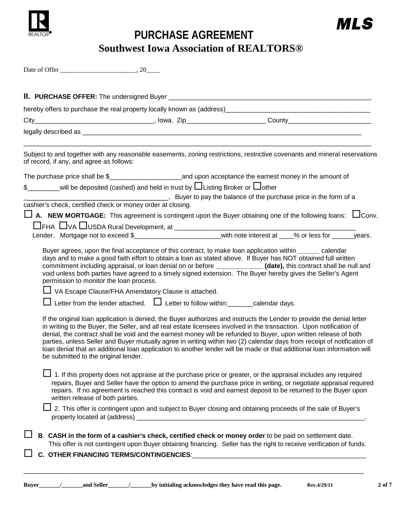

**PURCHASE AGREEMENT Southwest Iowa Association of REALTORS®**

| Date of Offer |  |
|---------------|--|
|               |  |

| of record, if any, and agree as follows:                                        |                                                                                                                                          | Subject to and together with any reasonable easements, zoning restrictions, restrictive covenants and mineral reservations                                                                                                                                                                                                                                                                                                                                                                                                                                                                                                                                                                                                               |
|---------------------------------------------------------------------------------|------------------------------------------------------------------------------------------------------------------------------------------|------------------------------------------------------------------------------------------------------------------------------------------------------------------------------------------------------------------------------------------------------------------------------------------------------------------------------------------------------------------------------------------------------------------------------------------------------------------------------------------------------------------------------------------------------------------------------------------------------------------------------------------------------------------------------------------------------------------------------------------|
|                                                                                 |                                                                                                                                          |                                                                                                                                                                                                                                                                                                                                                                                                                                                                                                                                                                                                                                                                                                                                          |
|                                                                                 | \$_______will be deposited (cashed) and held in trust by $\Box$ Listing Broker or $\Box$ other                                           |                                                                                                                                                                                                                                                                                                                                                                                                                                                                                                                                                                                                                                                                                                                                          |
|                                                                                 |                                                                                                                                          | Letter to pay the balance of the purchase price in the form of a                                                                                                                                                                                                                                                                                                                                                                                                                                                                                                                                                                                                                                                                         |
| cashier's check, certified check or money order at closing.                     |                                                                                                                                          |                                                                                                                                                                                                                                                                                                                                                                                                                                                                                                                                                                                                                                                                                                                                          |
|                                                                                 |                                                                                                                                          | $\Box$ A. NEW MORTGAGE: This agreement is contingent upon the Buyer obtaining one of the following loans: $\Box$ Conv.                                                                                                                                                                                                                                                                                                                                                                                                                                                                                                                                                                                                                   |
|                                                                                 |                                                                                                                                          |                                                                                                                                                                                                                                                                                                                                                                                                                                                                                                                                                                                                                                                                                                                                          |
|                                                                                 |                                                                                                                                          |                                                                                                                                                                                                                                                                                                                                                                                                                                                                                                                                                                                                                                                                                                                                          |
|                                                                                 |                                                                                                                                          | commitment including appraisal, or loan denial on or before _______________(date), this contract shall be null and                                                                                                                                                                                                                                                                                                                                                                                                                                                                                                                                                                                                                       |
| permission to monitor the loan process.<br>be submitted to the original lender. | □ VA Escape Clause/FHA Amendatory Clause is attached.<br>Letter from the lender attached. $\Box$ Letter to follow within: calendar days. | void unless both parties have agreed to a timely signed extension. The Buyer hereby gives the Seller's Agent<br>If the original loan application is denied, the Buyer authorizes and instructs the Lender to provide the denial letter<br>in writing to the Buyer, the Seller, and all real estate licensees involved in the transaction. Upon notification of<br>denial, the contract shall be void and the earnest money will be refunded to Buyer, upon written release of both<br>parties, unless Seller and Buyer mutually agree in writing within two (2) calendar days from receipt of notification of<br>loan denial that an additional loan application to another lender will be made or that additional loan information will |
| written release of both parties.                                                |                                                                                                                                          | 1. If this property does not appraise at the purchase price or greater, or the appraisal includes any required<br>repairs, Buyer and Seller have the option to amend the purchase price in writing, or negotiate appraisal required<br>repairs. If no agreement is reached this contract is void and earnest deposit to be returned to the Buyer upon<br>⊿ 2. This offer is contingent upon and subject to Buyer closing and obtaining proceeds of the sale of Buyer's                                                                                                                                                                                                                                                                   |
|                                                                                 |                                                                                                                                          |                                                                                                                                                                                                                                                                                                                                                                                                                                                                                                                                                                                                                                                                                                                                          |
|                                                                                 |                                                                                                                                          | B. CASH in the form of a cashier's check, certified check or money order to be paid on settlement date.<br>This offer is not contingent upon Buyer obtaining financing. Seller has the right to receive verification of funds.                                                                                                                                                                                                                                                                                                                                                                                                                                                                                                           |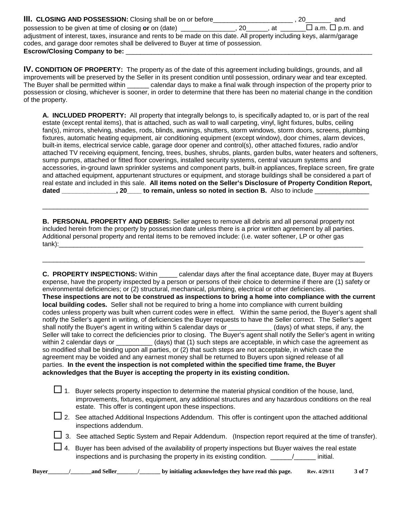| III. CLOSING AND POSSESSION: Closing shall be on or before_                                                           | 20<br>and                   |  |  |  |
|-----------------------------------------------------------------------------------------------------------------------|-----------------------------|--|--|--|
| possession to be given at time of closing or on (date) _<br>at a<br>.20                                               | $\Box$ a.m. $\Box$ p.m. and |  |  |  |
| adjustment of interest, taxes, insurance and rents to be made on this date. All property including keys, alarm/garage |                             |  |  |  |
| codes, and garage door remotes shall be delivered to Buyer at time of possession.                                     |                             |  |  |  |
| <b>Escrow/Closing Company to be:</b>                                                                                  |                             |  |  |  |

**IV. CONDITION OF PROPERTY:** The property as of the date of this agreement including buildings, grounds, and all improvements will be preserved by the Seller in its present condition until possession, ordinary wear and tear excepted. The Buyer shall be permitted within \_\_\_\_\_\_ calendar days to make a final walk through inspection of the property prior to possession or closing, whichever is sooner, in order to determine that there has been no material change in the condition of the property.

**A. INCLUDED PROPERTY:** All property that integrally belongs to, is specifically adapted to, or is part of the real estate (except rental items), that is attached, such as wall to wall carpeting, vinyl, light fixtures, bulbs, ceiling fan(s), mirrors, shelving, shades, rods, blinds, awnings, shutters, storm windows, storm doors, screens, plumbing fixtures, automatic heating equipment, air conditioning equipment (except window), door chimes, alarm devices, built-in items, electrical service cable, garage door opener and control(s), other attached fixtures, radio and/or attached TV receiving equipment, fencing, trees, bushes, shrubs, plants, garden bulbs, water heaters and softeners, sump pumps, attached or fitted floor coverings, installed security systems, central vacuum systems and accessories, in-ground lawn sprinkler systems and component parts, built-in appliances, fireplace screen, fire grate and attached equipment, appurtenant structures or equipment, and storage buildings shall be considered a part of real estate and included in this sale. **All items noted on the Seller's Disclosure of Property Condition Report,**  dated \_\_\_\_\_\_\_\_\_\_\_\_\_\_\_, 20\_\_\_\_ to remain, unless so noted in section B. Also to include \_\_\_\_

**B. PERSONAL PROPERTY AND DEBRIS:** Seller agrees to remove all debris and all personal property not included herein from the property by possession date unless there is a prior written agreement by all parties. Additional personal property and rental items to be removed include: (i.e. water softener, LP or other gas tank):\_\_\_\_\_\_\_\_\_\_\_\_\_\_\_\_\_\_\_\_\_\_\_\_\_\_\_\_\_\_\_\_\_\_\_\_\_\_\_\_\_\_\_\_\_\_\_\_\_\_\_\_\_\_\_\_\_\_\_\_\_\_\_\_\_\_\_\_\_\_\_\_\_\_\_\_\_\_\_\_\_\_\_\_

\_\_\_\_\_\_\_\_\_\_\_\_\_\_\_\_\_\_\_\_\_\_\_\_\_\_\_\_\_\_\_\_\_\_\_\_\_\_\_\_\_\_\_\_\_\_\_\_\_\_\_\_\_\_\_\_\_\_\_\_\_\_\_\_\_\_\_\_\_\_\_\_\_\_\_\_\_\_\_\_\_\_\_\_\_\_\_\_\_

\_\_\_\_\_\_\_\_\_\_\_\_\_\_\_\_\_\_\_\_\_\_\_\_\_\_\_\_\_\_\_\_\_\_\_\_\_\_\_\_\_\_\_\_\_\_\_\_\_\_\_\_\_\_\_\_\_\_\_\_\_\_\_\_\_\_\_\_\_\_\_\_\_\_\_\_\_\_\_\_\_\_\_\_\_\_\_\_\_\_

**C. PROPERTY INSPECTIONS:** Within \_\_\_\_\_ calendar days after the final acceptance date, Buyer may at Buyers expense, have the property inspected by a person or persons of their choice to determine if there are (1) safety or environmental deficiencies; or (2) structural, mechanical, plumbing, electrical or other deficiencies. **These inspections are not to be construed as inspections to bring a home into compliance with the current local building codes.** Seller shall not be required to bring a home into compliance with current building codes unless property was built when current codes were in effect. Within the same period, the Buyer's agent shall notify the Seller's agent in writing, of deficiencies the Buyer requests to have the Seller correct. The Seller's agent<br>shall notify the Buyer's agent in writing within 5 calendar days or (days) of what steps, if any, the shall notify the Buyer's agent in writing within 5 calendar days or Seller will take to correct the deficiencies prior to closing. The Buyer's agent shall notify the Seller's agent in writing within 2 calendar days or \_\_\_\_\_\_\_\_\_\_\_\_ (days) that (1) such steps are acceptable, in which case the agreement as so modified shall be binding upon all parties, or (2) that such steps are not acceptable, in which case the agreement may be voided and any earnest money shall be returned to Buyers upon signed release of all parties. **In the event the inspection is not completed within the specified time frame, the Buyer acknowledges that the Buyer is accepting the property in its existing condition.**

| <b>Buver</b> |                                                                                                                                                                                                                                                                         | by initialing acknowledges they have read this page.<br>and Seller<br>3 of 7<br>Rev. 4/29/11                                    |  |  |  |  |
|--------------|-------------------------------------------------------------------------------------------------------------------------------------------------------------------------------------------------------------------------------------------------------------------------|---------------------------------------------------------------------------------------------------------------------------------|--|--|--|--|
|              |                                                                                                                                                                                                                                                                         | 4. Buyer has been advised of the availability of property inspections but Buyer waives the real estate                          |  |  |  |  |
|              |                                                                                                                                                                                                                                                                         | 3. See attached Septic System and Repair Addendum. (Inspection report required at the time of transfer).                        |  |  |  |  |
|              |                                                                                                                                                                                                                                                                         | 2. See attached Additional Inspections Addendum. This offer is contingent upon the attached additional<br>inspections addendum. |  |  |  |  |
|              | Buyer selects property inspection to determine the material physical condition of the house, land,<br>improvements, fixtures, equipment, any additional structures and any hazardous conditions on the real<br>estate. This offer is contingent upon these inspections. |                                                                                                                                 |  |  |  |  |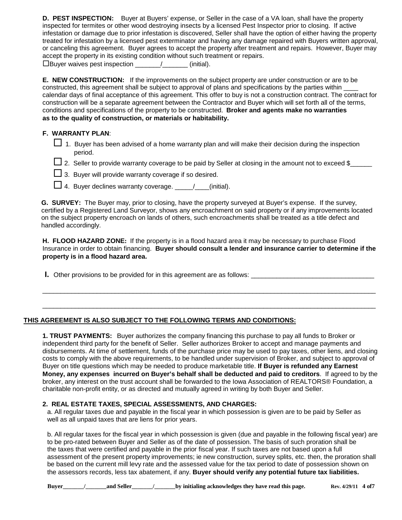**D. PEST INSPECTION:** Buyer at Buyers' expense, or Seller in the case of a VA loan, shall have the property inspected for termites or other wood destroying insects by a licensed Pest Inspector prior to closing. If active infestation or damage due to prior infestation is discovered, Seller shall have the option of either having the property treated for infestation by a licensed pest exterminator and having any damage repaired with Buyers written approval, or canceling this agreement. Buyer agrees to accept the property after treatment and repairs. However, Buyer may accept the property in its existing condition without such treatment or repairs.

Buyer waives pest inspection \_\_\_\_\_\_\_/\_\_\_\_\_\_\_ (initial).

**E. NEW CONSTRUCTION:** If the improvements on the subject property are under construction or are to be constructed, this agreement shall be subject to approval of plans and specifications by the parties within \_\_\_\_ calendar days of final acceptance of this agreement. This offer to buy is not a construction contract. The contract for construction will be a separate agreement between the Contractor and Buyer which will set forth all of the terms, conditions and specifications of the property to be constructed. **Broker and agents make no warranties as to the quality of construction, or materials or habitability.**

#### **F. WARRANTY PLAN**:

- $\Box$  1. Buyer has been advised of a home warranty plan and will make their decision during the inspection period.
- $\Box$  2. Seller to provide warranty coverage to be paid by Seller at closing in the amount not to exceed \$\_\_\_\_\_\_
- $\square$  3. Buyer will provide warranty coverage if so desired.
- $\Box$  4. Buyer declines warranty coverage.  $\Box$  / \_\_\_(initial).

 **G. SURVEY:** The Buyer may, prior to closing, have the property surveyed at Buyer's expense. If the survey, certified by a Registered Land Surveyor, shows any encroachment on said property or if any improvements located on the subject property encroach on lands of others, such encroachments shall be treated as a title defect and handled accordingly.

**H. FLOOD HAZARD ZONE:** If the property is in a flood hazard area it may be necessary to purchase Flood Insurance in order to obtain financing. **Buyer should consult a lender and insurance carrier to determine if the property is in a flood hazard area.** 

 $\_$  ,  $\_$  ,  $\_$  ,  $\_$  ,  $\_$  ,  $\_$  ,  $\_$  ,  $\_$  ,  $\_$  ,  $\_$  ,  $\_$  ,  $\_$  ,  $\_$  ,  $\_$  ,  $\_$  ,  $\_$  ,  $\_$  ,  $\_$  ,  $\_$  ,  $\_$  ,  $\_$  ,  $\_$  ,  $\_$  ,  $\_$  ,  $\_$  ,  $\_$  ,  $\_$  ,  $\_$  ,  $\_$  ,  $\_$  ,  $\_$  ,  $\_$  ,  $\_$  ,  $\_$  ,  $\_$  ,  $\_$  ,  $\_$  ,

 $\_$  ,  $\_$  ,  $\_$  ,  $\_$  ,  $\_$  ,  $\_$  ,  $\_$  ,  $\_$  ,  $\_$  ,  $\_$  ,  $\_$  ,  $\_$  ,  $\_$  ,  $\_$  ,  $\_$  ,  $\_$  ,  $\_$  ,  $\_$  ,  $\_$  ,  $\_$  ,  $\_$  ,  $\_$  ,  $\_$  ,  $\_$  ,  $\_$  ,  $\_$  ,  $\_$  ,  $\_$  ,  $\_$  ,  $\_$  ,  $\_$  ,  $\_$  ,  $\_$  ,  $\_$  ,  $\_$  ,  $\_$  ,  $\_$  ,

**I.** Other provisions to be provided for in this agreement are as follows: \_\_\_\_\_\_\_\_\_\_\_\_\_\_\_\_\_\_\_\_\_\_\_\_\_\_\_\_\_\_\_\_\_\_

#### **THIS AGREEMENT IS ALSO SUBJECT TO THE FOLLOWING TERMS AND CONDITIONS:**

**1. TRUST PAYMENTS:** Buyer authorizes the company financing this purchase to pay all funds to Broker or independent third party for the benefit of Seller. Seller authorizes Broker to accept and manage payments and disbursements. At time of settlement, funds of the purchase price may be used to pay taxes, other liens, and closing costs to comply with the above requirements, to be handled under supervision of Broker, and subject to approval of Buyer on title questions which may be needed to produce marketable title. **If Buyer is refunded any Earnest Money, any expenses incurred on Buyer's behalf shall be deducted and paid to creditors**. If agreed to by the broker, any interest on the trust account shall be forwarded to the Iowa Association of REALTORS® Foundation, a charitable non-profit entity, or as directed and mutually agreed in writing by both Buyer and Seller.

#### **2. REAL ESTATE TAXES, SPECIAL ASSESSMENTS, AND CHARGES:**

a. All regular taxes due and payable in the fiscal year in which possession is given are to be paid by Seller as well as all unpaid taxes that are liens for prior years.

b. All regular taxes for the fiscal year in which possession is given (due and payable in the following fiscal year) are to be pro-rated between Buyer and Seller as of the date of possession. The basis of such proration shall be the taxes that were certified and payable in the prior fiscal year. If such taxes are not based upon a full assessment of the present property improvements; ie new construction, survey splits, etc. then, the proration shall be based on the current mill levy rate and the assessed value for the tax period to date of possession shown on the assessors records, less tax abatement, if any. **Buyer should verify any potential future tax liabilities.**

 **Buyer\_\_\_\_\_\_\_/\_\_\_\_\_\_\_and Seller\_\_\_\_\_\_\_/\_\_\_\_\_\_\_by initialing acknowledges they have read this page. Rev. 4/29/11 4 of7**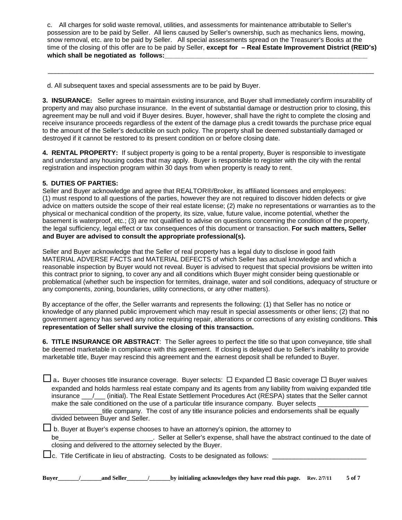c. All charges for solid waste removal, utilities, and assessments for maintenance attributable to Seller's possession are to be paid by Seller. All liens caused by Seller's ownership, such as mechanics liens, mowing, snow removal, etc. are to be paid by Seller. All special assessments spread on the Treasurer's Books at the time of the closing of this offer are to be paid by Seller, **except for – Real Estate Improvement District (REID's)** which shall be negotiated as follows:

d. All subsequent taxes and special assessments are to be paid by Buyer.

**3. INSURANCE:** Seller agrees to maintain existing insurance, and Buyer shall immediately confirm insurability of property and may also purchase insurance. In the event of substantial damage or destruction prior to closing, this agreement may be null and void if Buyer desires. Buyer, however, shall have the right to complete the closing and receive insurance proceeds regardless of the extent of the damage plus a credit towards the purchase price equal to the amount of the Seller's deductible on such policy. The property shall be deemed substantially damaged or destroyed if it cannot be restored to its present condition on or before closing date.

 $\mathcal{L}_\text{max}$  , and the set of the set of the set of the set of the set of the set of the set of the set of the set of the set of the set of the set of the set of the set of the set of the set of the set of the set of the

**4. RENTAL PROPERTY:** If subject property is going to be a rental property, Buyer is responsible to investigate and understand any housing codes that may apply. Buyer is responsible to register with the city with the rental registration and inspection program within 30 days from when property is ready to rent.

#### **5. DUTIES OF PARTIES:**

Seller and Buyer acknowledge and agree that REALTOR®/Broker, its affiliated licensees and employees: (1) must respond to all questions of the parties, however they are not required to discover hidden defects or give advice on matters outside the scope of their real estate license; (2) make no representations or warranties as to the physical or mechanical condition of the property, its size, value, future value, income potential, whether the basement is waterproof, etc.; (3) are not qualified to advise on questions concerning the condition of the property, the legal sufficiency, legal effect or tax consequences of this document or transaction. **For such matters, Seller and Buyer are advised to consult the appropriate professional(s).** 

Seller and Buyer acknowledge that the Seller of real property has a legal duty to disclose in good faith MATERIAL ADVERSE FACTS and MATERIAL DEFECTS of which Seller has actual knowledge and which a reasonable inspection by Buyer would not reveal. Buyer is advised to request that special provisions be written into this contract prior to signing, to cover any and all conditions which Buyer might consider being questionable or problematical (whether such be inspection for termites, drainage, water and soil conditions, adequacy of structure or any components, zoning, boundaries, utility connections, or any other matters).

By acceptance of the offer, the Seller warrants and represents the following: (1) that Seller has no notice or knowledge of any planned public improvement which may result in special assessments or other liens; (2) that no government agency has served any notice requiring repair, alterations or corrections of any existing conditions. **This representation of Seller shall survive the closing of this transaction.**

**6. TITLE INSURANCE OR ABSTRACT**: The Seller agrees to perfect the title so that upon conveyance, title shall be deemed marketable in compliance with this agreement. If closing is delayed due to Seller's inability to provide marketable title, Buyer may rescind this agreement and the earnest deposit shall be refunded to Buyer.

 $\Box$  a. Buyer chooses title insurance coverage. Buyer selects:  $\Box$  Expanded  $\Box$  Basic coverage  $\Box$  Buyer waives expanded and holds harmless real estate company and its agents from any liability from waiving expanded title insurance / (initial). The Real Estate Settlement Procedures Act (RESPA) states that the Seller cannot make the sale conditioned on the use of a particular title insurance company. Buyer selects

title company. The cost of any title insurance policies and endorsements shall be equally divided between Buyer and Seller.

 $\Box$  b. Buyer at Buyer's expense chooses to have an attorney's opinion, the attorney to

be the seller at Seller's expense, shall have the abstract continued to the date of closing and delivered to the attorney selected by the Buyer.

 $\square$ c. Title Certificate in lieu of abstracting. Costs to be designated as follows:  $\square$ 

**Buyer** / and Seller / by initialing acknowledges they have read this page. Rev. 2/7/11 5 of 7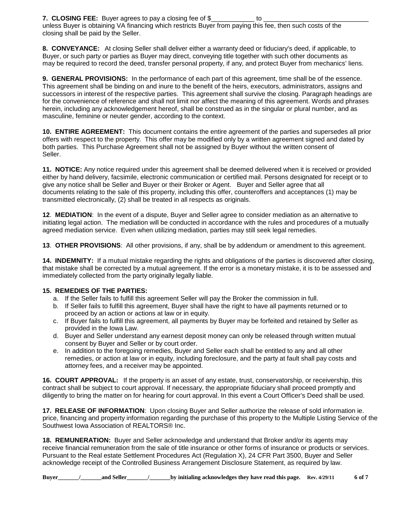**7. CLOSING FEE:** Buyer agrees to pay a closing fee of \$\_\_\_\_\_\_\_\_\_\_\_\_\_\_\_\_\_\_\_ to unless Buyer is obtaining VA financing which restricts Buyer from paying this fee, then such costs of the closing shall be paid by the Seller.

**8. CONVEYANCE:** At closing Seller shall deliver either a warranty deed or fiduciary's deed, if applicable, to Buyer, or such party or parties as Buyer may direct, conveying title together with such other documents as may be required to record the deed, transfer personal property, if any, and protect Buyer from mechanics' liens.

**9. GENERAL PROVISIONS:** In the performance of each part of this agreement, time shall be of the essence. This agreement shall be binding on and inure to the benefit of the heirs, executors, administrators, assigns and successors in interest of the respective parties. This agreement shall survive the closing. Paragraph headings are for the convenience of reference and shall not limit nor affect the meaning of this agreement. Words and phrases herein, including any acknowledgement hereof, shall be construed as in the singular or plural number, and as masculine, feminine or neuter gender, according to the context.

**10. ENTIRE AGREEMENT:** This document contains the entire agreement of the parties and supersedes all prior offers with respect to the property. This offer may be modified only by a written agreement signed and dated by both parties. This Purchase Agreement shall not be assigned by Buyer without the written consent of Seller.

**11. NOTICE:** Any notice required under this agreement shall be deemed delivered when it is received or provided either by hand delivery, facsimile, electronic communication or certified mail. Persons designated for receipt or to give any notice shall be Seller and Buyer or their Broker or Agent. Buyer and Seller agree that all documents relating to the sale of this property, including this offer, counteroffers and acceptances (1) may be transmitted electronically, (2) shall be treated in all respects as originals.

**12**. **MEDIATION**: In the event of a dispute, Buyer and Seller agree to consider mediation as an alternative to initiating legal action. The mediation will be conducted in accordance with the rules and procedures of a mutually agreed mediation service. Even when utilizing mediation, parties may still seek legal remedies.

**13**. **OTHER PROVISIONS**: All other provisions, if any, shall be by addendum or amendment to this agreement.

**14. INDEMNITY:** If a mutual mistake regarding the rights and obligations of the parties is discovered after closing, that mistake shall be corrected by a mutual agreement. If the error is a monetary mistake, it is to be assessed and immediately collected from the party originally legally liable.

#### **15. REMEDIES OF THE PARTIES:**

- a. If the Seller fails to fulfill this agreement Seller will pay the Broker the commission in full.
- b. If Seller fails to fulfill this agreement, Buyer shall have the right to have all payments returned or to proceed by an action or actions at law or in equity.
- c. If Buyer fails to fulfill this agreement, all payments by Buyer may be forfeited and retained by Seller as provided in the Iowa Law.
- d. Buyer and Seller understand any earnest deposit money can only be released through written mutual consent by Buyer and Seller or by court order.
- e. In addition to the foregoing remedies, Buyer and Seller each shall be entitled to any and all other remedies, or action at law or in equity, including foreclosure, and the party at fault shall pay costs and attorney fees, and a receiver may be appointed.

**16. COURT APPROVAL:** If the property is an asset of any estate, trust, conservatorship, or receivership, this contract shall be subject to court approval. If necessary, the appropriate fiduciary shall proceed promptly and diligently to bring the matter on for hearing for court approval. In this event a Court Officer's Deed shall be used.

**17. RELEASE OF INFORMATION**: Upon closing Buyer and Seller authorize the release of sold information ie. price, financing and property information regarding the purchase of this property to the Multiple Listing Service of the Southwest Iowa Association of REALTORS® Inc.

**18. REMUNERATION:** Buyer and Seller acknowledge and understand that Broker and/or its agents may receive financial remuneration from the sale of title insurance or other forms of insurance or products or services. Pursuant to the Real estate Settlement Procedures Act (Regulation X), 24 CFR Part 3500, Buyer and Seller acknowledge receipt of the Controlled Business Arrangement Disclosure Statement, as required by law.

**Buyer\_\_\_\_\_\_\_/\_\_\_\_\_\_\_and Seller\_\_\_\_\_\_\_/\_\_\_\_\_\_\_by initialing acknowledges they have read this page. Rev. 4/29/11 6 of 7**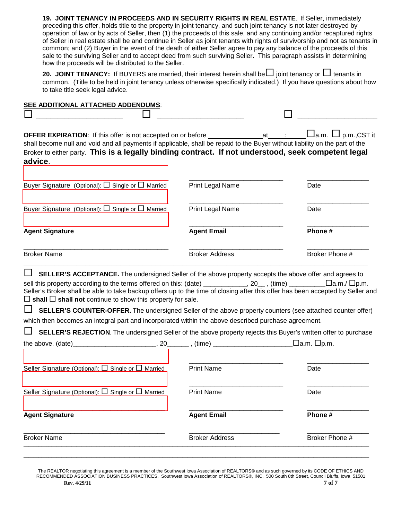**19. JOINT TENANCY IN PROCEEDS AND IN SECURITY RIGHTS IN REAL ESTATE**.If Seller, immediately preceding this offer, holds title to the property in joint tenancy, and such joint tenancy is not later destroyed by operation of law or by acts of Seller, then (1) the proceeds of this sale, and any continuing and/or recaptured rights of Seller in real estate shall be and continue in Seller as joint tenants with rights of survivorship and not as tenants in common; and (2) Buyer in the event of the death of either Seller agree to pay any balance of the proceeds of this sale to the surviving Seller and to accept deed from such surviving Seller. This paragraph assists in determining how the proceeds will be distributed to the Seller.

**20. JOINT TENANCY:** If BUYERS are married, their interest herein shall be  $\Box$  joint tenancy or  $\Box$  tenants in common. (Title to be held in joint tenancy unless otherwise specifically indicated.) If you have questions about how to take title seek legal advice.

| SEE ADDITIONAL ATTACHED ADDENDUMS:                                                                                                                                                                                                                                                                                                                                                                                                                                                                                                                                                                                                                                           |                         |                                 |
|------------------------------------------------------------------------------------------------------------------------------------------------------------------------------------------------------------------------------------------------------------------------------------------------------------------------------------------------------------------------------------------------------------------------------------------------------------------------------------------------------------------------------------------------------------------------------------------------------------------------------------------------------------------------------|-------------------------|---------------------------------|
| OFFER EXPIRATION: If this offer is not accepted on or before ____________________ at<br>shall become null and void and all payments if applicable, shall be repaid to the Buyer without liability on the part of the<br>Broker to either party. This is a legally binding contract. If not understood, seek competent legal<br>advice.                                                                                                                                                                                                                                                                                                                                       |                         | $\Box$ a.m. $\Box$ p.m., CST it |
| Buyer Signature (Optional): □ Single or □ Married                                                                                                                                                                                                                                                                                                                                                                                                                                                                                                                                                                                                                            | <b>Print Legal Name</b> | Date                            |
| Buyer Signature (Optional): $\Box$ Single or $\Box$ Married                                                                                                                                                                                                                                                                                                                                                                                                                                                                                                                                                                                                                  | Print Legal Name        | Date                            |
| <b>Agent Signature</b>                                                                                                                                                                                                                                                                                                                                                                                                                                                                                                                                                                                                                                                       | <b>Agent Email</b>      | Phone #                         |
| <b>Broker Name</b>                                                                                                                                                                                                                                                                                                                                                                                                                                                                                                                                                                                                                                                           | <b>Broker Address</b>   | Broker Phone #                  |
| $\Box$<br>SELLER'S ACCEPTANCE. The undersigned Seller of the above property accepts the above offer and agrees to<br>Seller's Broker shall be able to take backup offers up to the time of closing after this offer has been accepted by Seller and<br>$\Box$ shall $\Box$ shall not continue to show this property for sale.<br><b>SELLER'S COUNTER-OFFER.</b> The undersigned Seller of the above property counters (see attached counter offer)<br>which then becomes an integral part and incorporated within the above described purchase agreement.<br>SELLER'S REJECTION. The undersigned Seller of the above property rejects this Buyer's written offer to purchase |                         | _□a.m. □p.m.                    |
| Seller Signature (Optional): $\Box$ Single or $\Box$ Married                                                                                                                                                                                                                                                                                                                                                                                                                                                                                                                                                                                                                 | <b>Print Name</b>       | Date                            |
| Seller Signature (Optional): $\square$ Single or $\square$ Married                                                                                                                                                                                                                                                                                                                                                                                                                                                                                                                                                                                                           | <b>Print Name</b>       | Date                            |
| <b>Agent Signature</b>                                                                                                                                                                                                                                                                                                                                                                                                                                                                                                                                                                                                                                                       | <b>Agent Email</b>      | Phone #                         |
| <b>Broker Name</b>                                                                                                                                                                                                                                                                                                                                                                                                                                                                                                                                                                                                                                                           | <b>Broker Address</b>   | Broker Phone #                  |
|                                                                                                                                                                                                                                                                                                                                                                                                                                                                                                                                                                                                                                                                              |                         |                                 |

The REALTOR negotiating this agreement is a member of the Southwest Iowa Association of REALTORS® and as such governed by its CODE OF ETHICS AND RECOMMENDED ASSOCIATION BUSINESS PRACTICES. Southwest Iowa Association of REALTORS®, INC. 500 South 8th Street, Council Bluffs, Iowa 51501 **Rev.** 4/29/11 **7 of 7**